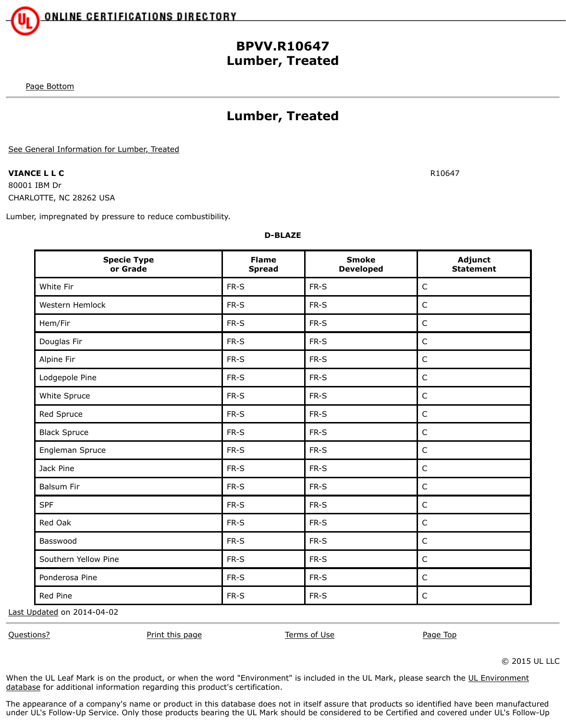## **BPVV.R10647 Lumber, Treated**

[Page Bottom](http://database.ul.com/cgi-bin/XYV/template/LISEXT/1FRAME/showpage.html?name=BPVV.R10647&ccnshorttitle=Lumber,+Treated&objid=1074291364&cfgid=1073741824&version=versionless&parent_id=1073984691&sequence=1#PAGEBOTTOM)

## **Lumber, Treated**

[See General Information for Lumber, Treated](http://database.ul.com/cgi-bin/XYV/template/LISEXT/1FRAME/showpage.html?&name=BPVV.GuideInfo&ccnshorttitle=Lumber,+Treated&objid=1074291348&cfgid=1073741824&version=versionless&parent_id=1073984691&sequence=1)

**VIANCE L L C** R10647 80001 IBM Dr CHARLOTTE, NC 28262 USA

Lumber, impregnated by pressure to reduce combustibility.

**D-BLAZE**

| <b>Specie Type</b><br>or Grade | <b>Flame</b><br><b>Spread</b> | <b>Smoke</b><br><b>Developed</b> | Adjunct<br><b>Statement</b> |
|--------------------------------|-------------------------------|----------------------------------|-----------------------------|
| White Fir                      | FR-S                          | FR-S                             | $\mathsf C$                 |
| Western Hemlock                | FR-S                          | FR-S                             | $\mathsf C$                 |
| Hem/Fir                        | FR-S                          | FR-S                             | $\mathsf C$                 |
| Douglas Fir                    | FR-S                          | FR-S                             | $\mathsf C$                 |
| Alpine Fir                     | FR-S                          | FR-S                             | $\mathsf C$                 |
| Lodgepole Pine                 | FR-S                          | FR-S                             | $\mathsf C$                 |
| White Spruce                   | FR-S                          | FR-S                             | $\mathsf C$                 |
| Red Spruce                     | FR-S                          | FR-S                             | $\mathsf C$                 |
| <b>Black Spruce</b>            | FR-S                          | FR-S                             | $\mathsf C$                 |
| Engleman Spruce                | FR-S                          | FR-S                             | $\mathsf C$                 |
| Jack Pine                      | FR-S                          | FR-S                             | $\mathsf C$                 |
| <b>Balsum Fir</b>              | FR-S                          | FR-S                             | $\mathsf C$                 |
| <b>SPF</b>                     | FR-S                          | FR-S                             | $\mathsf C$                 |
| Red Oak                        | FR-S                          | FR-S                             | $\mathsf C$                 |
| Basswood                       | FR-S                          | $FR-S$                           | $\mathsf C$                 |
| Southern Yellow Pine           | FR-S                          | FR-S                             | $\mathsf C$                 |
| Ponderosa Pine                 | FR-S                          | FR-S                             | $\mathsf C$                 |
| Red Pine                       | FR-S                          | FR-S                             | $\mathsf C$                 |

[Last Updated](javascript:openit() on 2014-04-02

[Questions?](http://database.ul.com/cgi-bin/XYV/template/LISEXT/1FRAME/gassist.html) [Print this page](javascript:window.print()) 
Print the page Top 
Print this page 
Prince Contains and Prince [Page Top](http://database.ul.com/cgi-bin/XYV/template/LISEXT/1FRAME/showpage.html?name=BPVV.R10647&ccnshorttitle=Lumber,+Treated&objid=1074291364&cfgid=1073741824&version=versionless&parent_id=1073984691&sequence=1#PAGETOP) 
Prince Page Top 
Prince Prince Prince Prince Prince Prince Prince Prince Prince Prince Prince Prince Prince Prince Prin

© 2015 UL LLC

[When the UL Leaf Mark is on the product, or when the word "Environment" is included in the UL Mark, please search the UL Environment](http://www.ul.com/global/eng/pages/offerings/businesses/environment/databasesearch/iframe/index.jsp) database for additional information regarding this product's certification.

The appearance of a company's name or product in this database does not in itself assure that products so identified have been manufactured under UL's Follow-Up Service. Only those products bearing the UL Mark should be considered to be Certified and covered under UL's Follow-Up